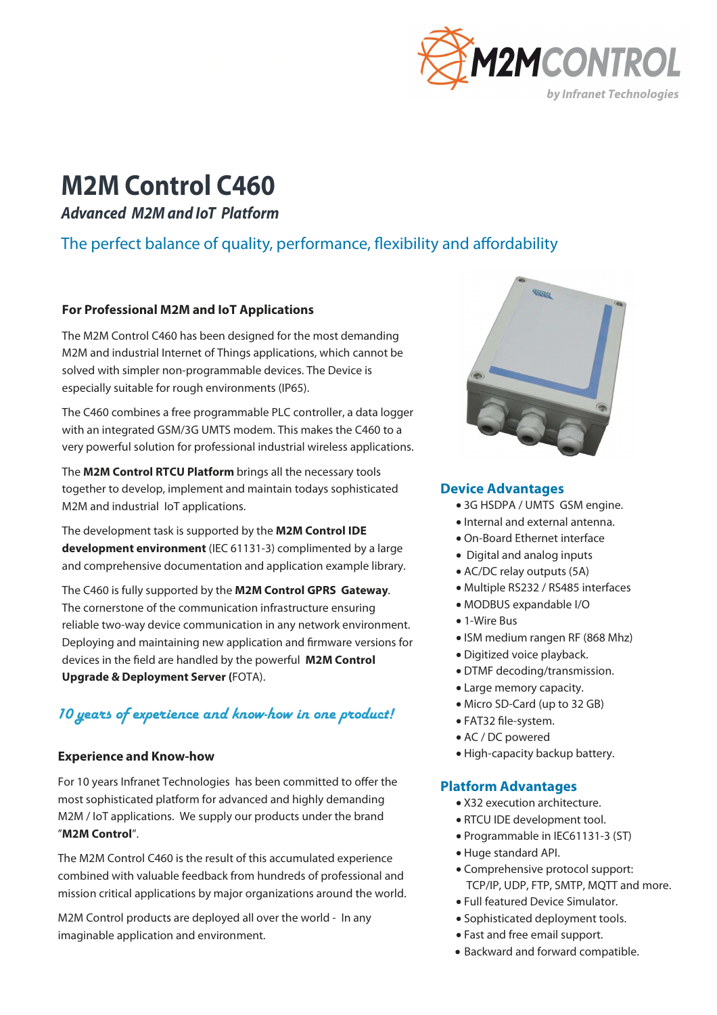

# **M2M Control C460**

**Advanced M2M and IoT Platform** 

# The perfect balance of quality, performance, flexibility and affordability

### **For Professional M2M and IoT Applications**

The M2M Control C460 has been designed for the most demanding M2M and industrial Internet of Things applications, which cannot be solved with simpler non-programmable devices. The Device is especially suitable for rough environments (IP65).

The C460 combines a free programmable PLC controller, a data logger with an integrated GSM/3G UMTS modem. This makes the C460 to a very powerful solution for professional industrial wireless applications.

The **M2M Control RTCU Platform** brings all the necessary tools together to develop, implement and maintain todays sophisticated M2M and industrial IoT applications.

The development task is supported by the **M2M Control IDE development environment** (IEC 61131-3) complimented by a large and comprehensive documentation and application example library.

The C460 is fully supported by the **M2M Control GPRS Gateway**. The cornerstone of the communication infrastructure ensuring reliable two-way device communication in any network environment. Deploying and maintaining new application and firmware versions for devices in the field are handled by the powerful **M2M Control Upgrade & Deployment Server (**FOTA).

## 10 years of experience and know-how in one product!

## **Experience and Know-how <br>
<b>Experience and Know-how COVID-MAN COVID-MAN COVID-MAN COVID-MAN COVID-MAN COVID-MAN COVID-MAN COVID-MAN COVID-MAN COVID-MAN COVID-MAN COVID-MAN COVID-MAN COVID-MAN COVID-MAN COVID-MAN COVID-MA**

For 10 years Infranet Technologies has been committed to offer the most sophisticated platform for advanced and highly demanding M2M / IoT applications. We supply our products under the brand "**M2M Control**".

The M2M Control C460 is the result of this accumulated experience combined with valuable feedback from hundreds of professional and mission critical applications by major organizations around the world.

M2M Control products are deployed all over the world - In any imaginable application and environment.



### **Device Advantages**

- 3G HSDPA / UMTS GSM engine.
- Internal and external antenna.
- On-Board Ethernet interface
- Digital and analog inputs
- AC/DC relay outputs (5A)
- Multiple RS232 / RS485 interfaces
- MODBUS expandable I/O
- 1-Wire Bus
- ISM medium rangen RF (868 Mhz)
- Digitized voice playback.
- DTMF decoding/transmission.
- Large memory capacity.
- Micro SD-Card (up to 32 GB)
- FAT32 file-system.
- AC / DC powered
- 

#### **Platform Advantages**

- X32 execution architecture.
- RTCU IDE development tool.
- Programmable in IEC61131-3 (ST)
- Huge standard API.
- Comprehensive protocol support: TCP/IP, UDP, FTP, SMTP, MQTT and more.
- Full featured Device Simulator.
- Sophisticated deployment tools.
- Fast and free email support.
- Backward and forward compatible.